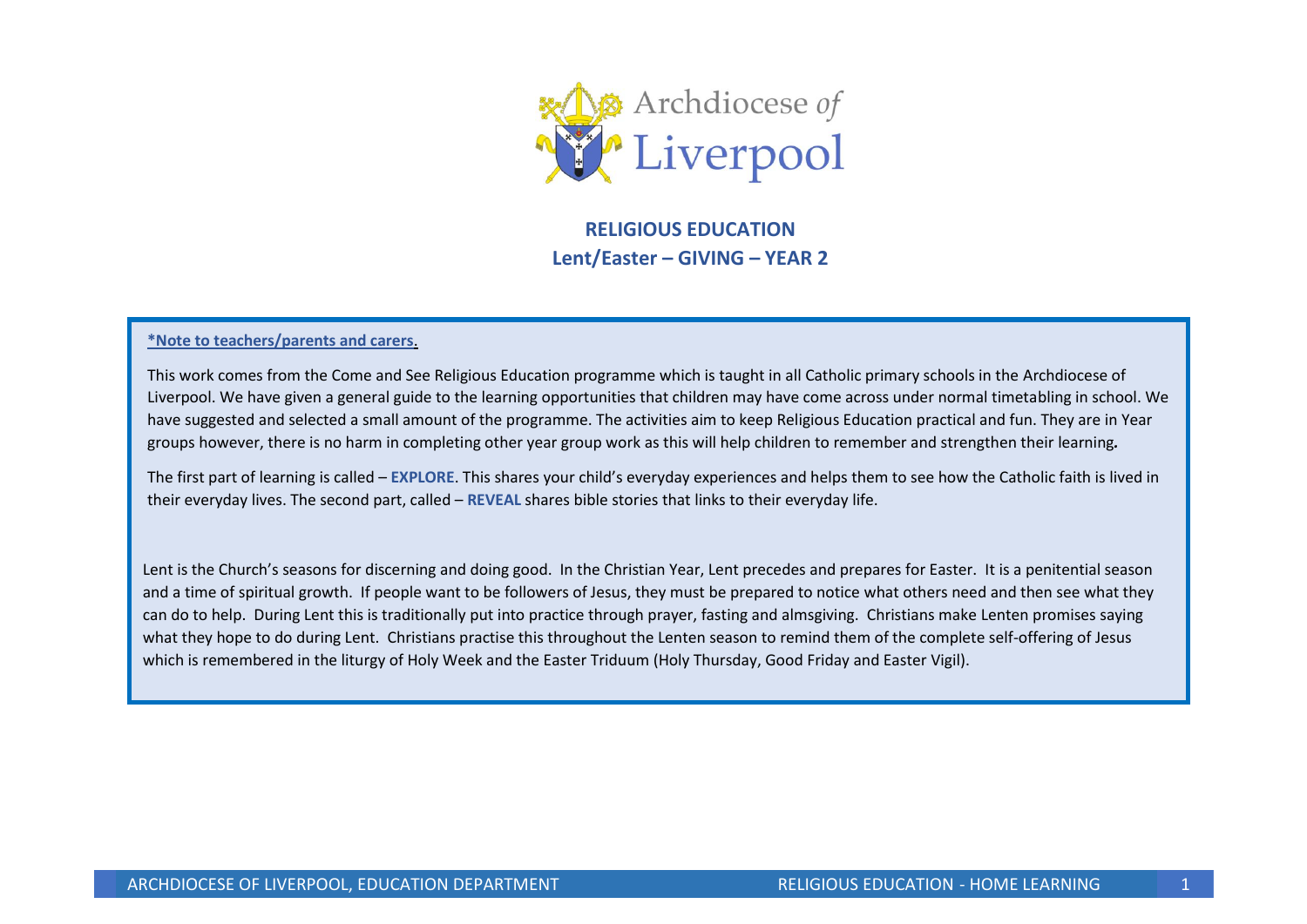

**RELIGIOUS EDUCATION Lent/Easter – GIVING – YEAR 2**

#### **\*Note to teachers/parents and carers**.

This work comes from the Come and See Religious Education programme which is taught in all Catholic primary schools in the Archdiocese of Liverpool. We have given a general guide to the learning opportunities that children may have come across under normal timetabling in school. We have suggested and selected a small amount of the programme. The activities aim to keep Religious Education practical and fun. They are in Year groups however, there is no harm in completing other year group work as this will help children to remember and strengthen their learning*.* 

The first part of learning is called – **EXPLORE**. This shares your child's everyday experiences and helps them to see how the Catholic faith is lived in their everyday lives. The second part, called – **REVEAL** shares bible stories that links to their everyday life.

Lent is the Church's seasons for discerning and doing good. In the Christian Year, Lent precedes and prepares for Easter. It is a penitential season and a time of spiritual growth. If people want to be followers of Jesus, they must be prepared to notice what others need and then see what they can do to help. During Lent this is traditionally put into practice through prayer, fasting and almsgiving. Christians make Lenten promises saying what they hope to do during Lent. Christians practise this throughout the Lenten season to remind them of the complete self-offering of Jesus which is remembered in the liturgy of Holy Week and the Easter Triduum (Holy Thursday, Good Friday and Easter Vigil).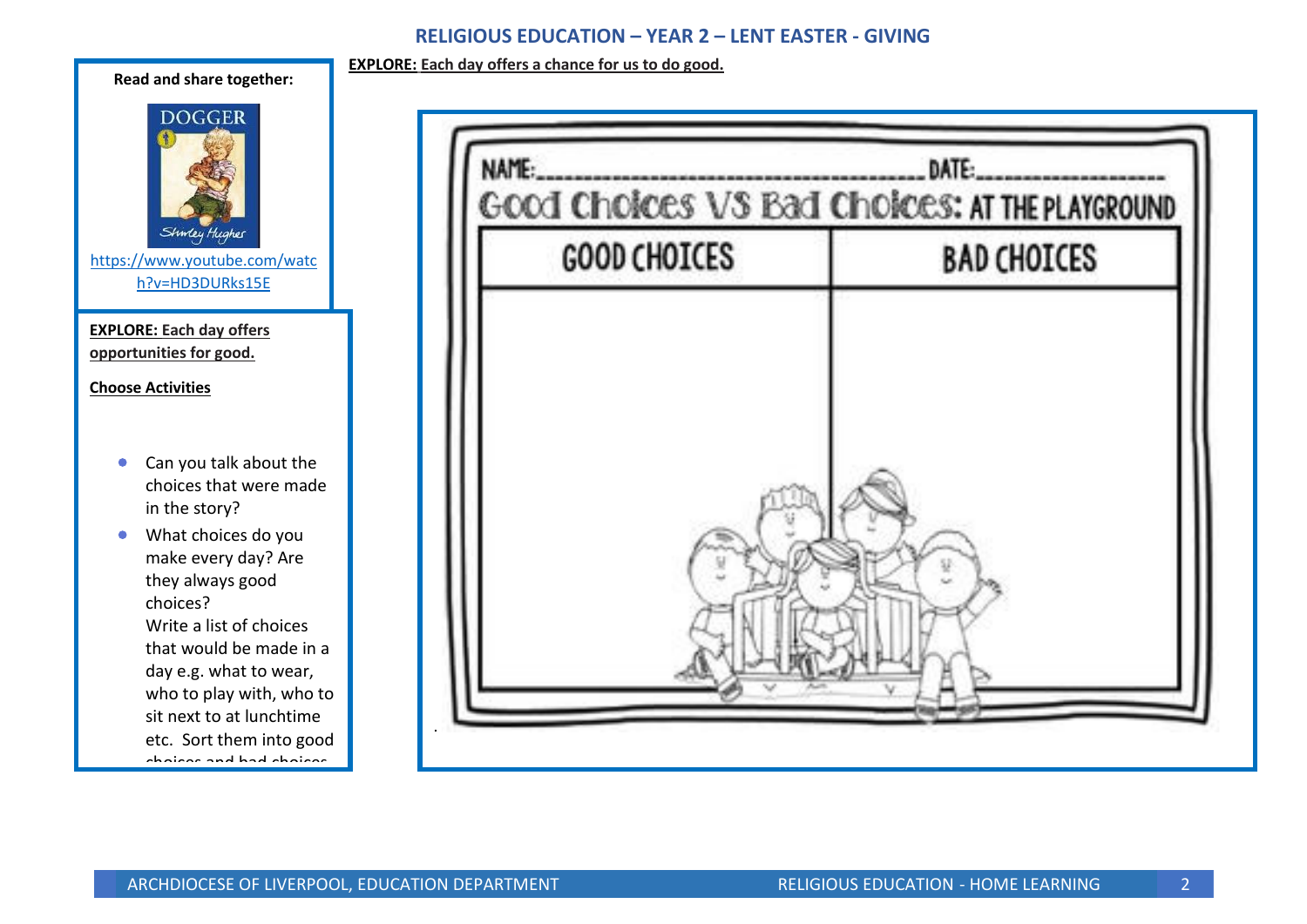# **RELIGIOUS EDUCATION – YEAR 2 – LENT EASTER - GIVING**

**EXPLORE: Each day offers a chance for us to do good.**



| GOOD Choices VS Bad Choices: AT THE PLAYGROUND |                    |
|------------------------------------------------|--------------------|
| <b>GOOD CHOICES</b>                            | <b>BAD CHOICES</b> |
|                                                |                    |
|                                                |                    |
|                                                |                    |
|                                                |                    |
|                                                |                    |
|                                                |                    |
|                                                |                    |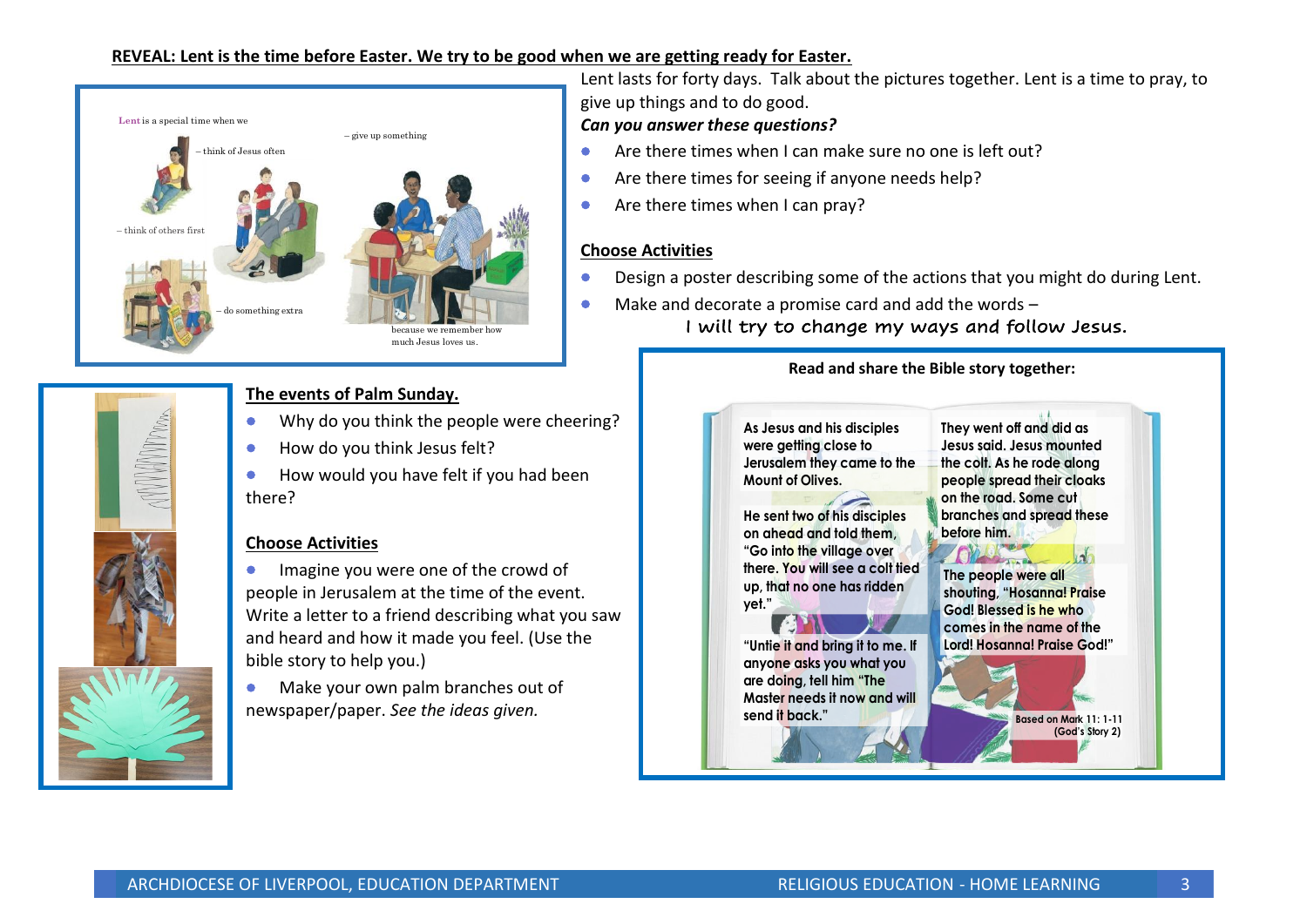## **REVEAL: Lent is the time before Easter. We try to be good when we are getting ready for Easter.**



# **The events of Palm Sunday.**

- Why do you think the people were cheering?
- How do you think Jesus felt?
- How would you have felt if you had been there?

## **Choose Activities**

- **•** Imagine you were one of the crowd of people in Jerusalem at the time of the event. Write a letter to a friend describing what you saw and heard and how it made you feel. (Use the bible story to help you.)
- Make your own palm branches out of newspaper/paper. *See the ideas given.*

Lent lasts for forty days. Talk about the pictures together. Lent is a time to pray, to give up things and to do good.

# *Can you answer these questions?*

- Are there times when I can make sure no one is left out?
- Are there times for seeing if anyone needs help?
- Are there times when I can pray?

# **Choose Activities**

- Design a poster describing some of the actions that you might do during Lent.
- Make and decorate a promise card and add the words I will try to change my ways and follow Jesus.

## **Read and share the Bible story together:**

As Jesus and his disciples were aetting close to **Jerusalem they came to the** Mount of Olives

**He sent two of his disciples** on ahead and told them. "Go into the village over **there.** You will see a colt tied up, that no one has ridden vet."





"Untie it and bring it to me. If anyone asks you what you are doing, tell him "The **Master needs it now and will** send it back."

**Based on Mark 11: 1-11** (God's Story 2)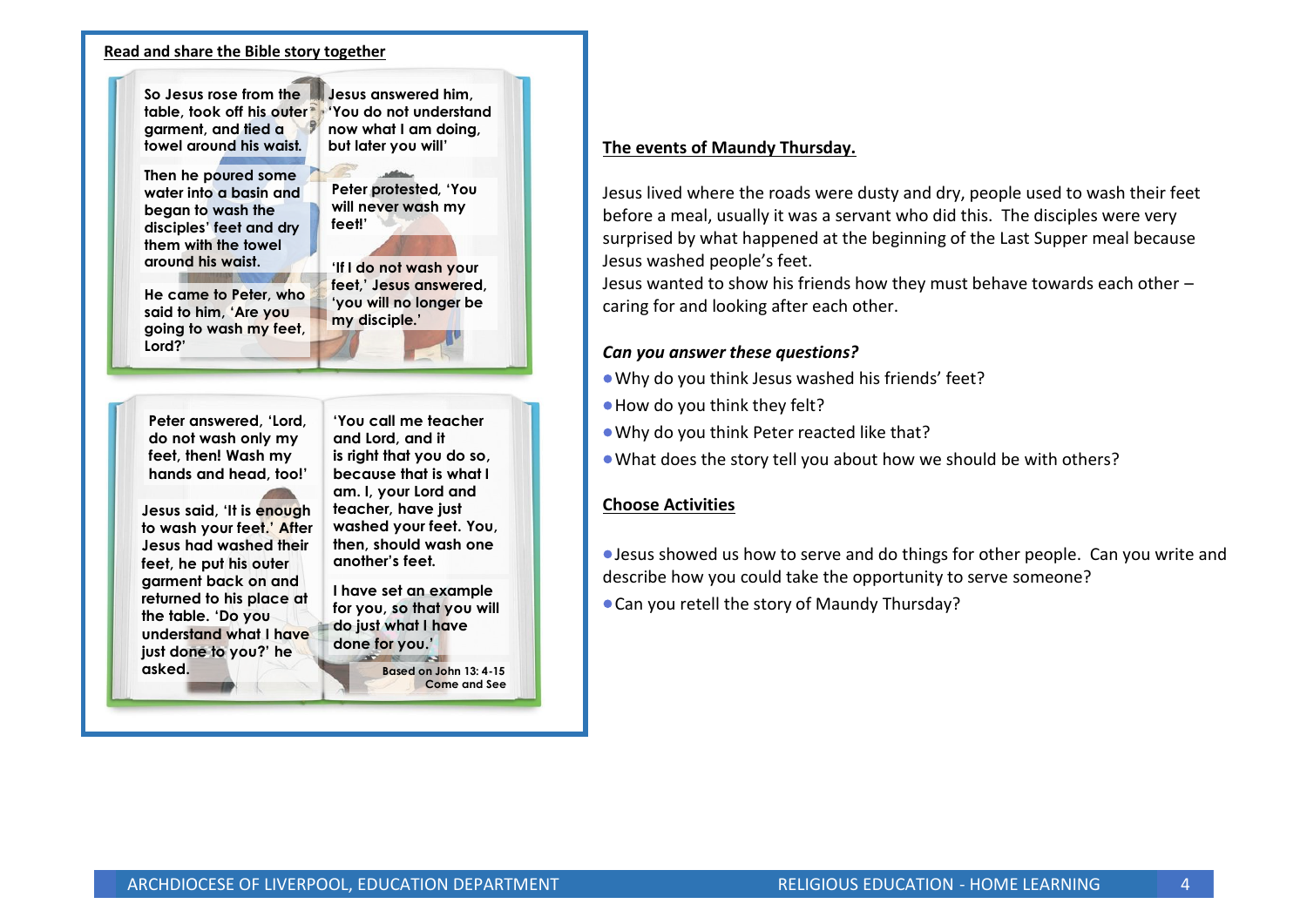### **Read and share the Bible story together**



### **The events of Maundy Thursday.**

Jesus lived where the roads were dusty and dry, people used to wash their feet before a meal, usually it was a servant who did this. The disciples were very surprised by what happened at the beginning of the Last Supper meal because Jesus washed people's feet.

Jesus wanted to show his friends how they must behave towards each other – caring for and looking after each other.

### *Can you answer these questions?*

- •Why do you think Jesus washed his friends' feet?
- •How do you think they felt?
- •Why do you think Peter reacted like that?
- •What does the story tell you about how we should be with others?

### **Choose Activities**

•Jesus showed us how to serve and do things for other people. Can you write and describe how you could take the opportunity to serve someone?

•Can you retell the story of Maundy Thursday?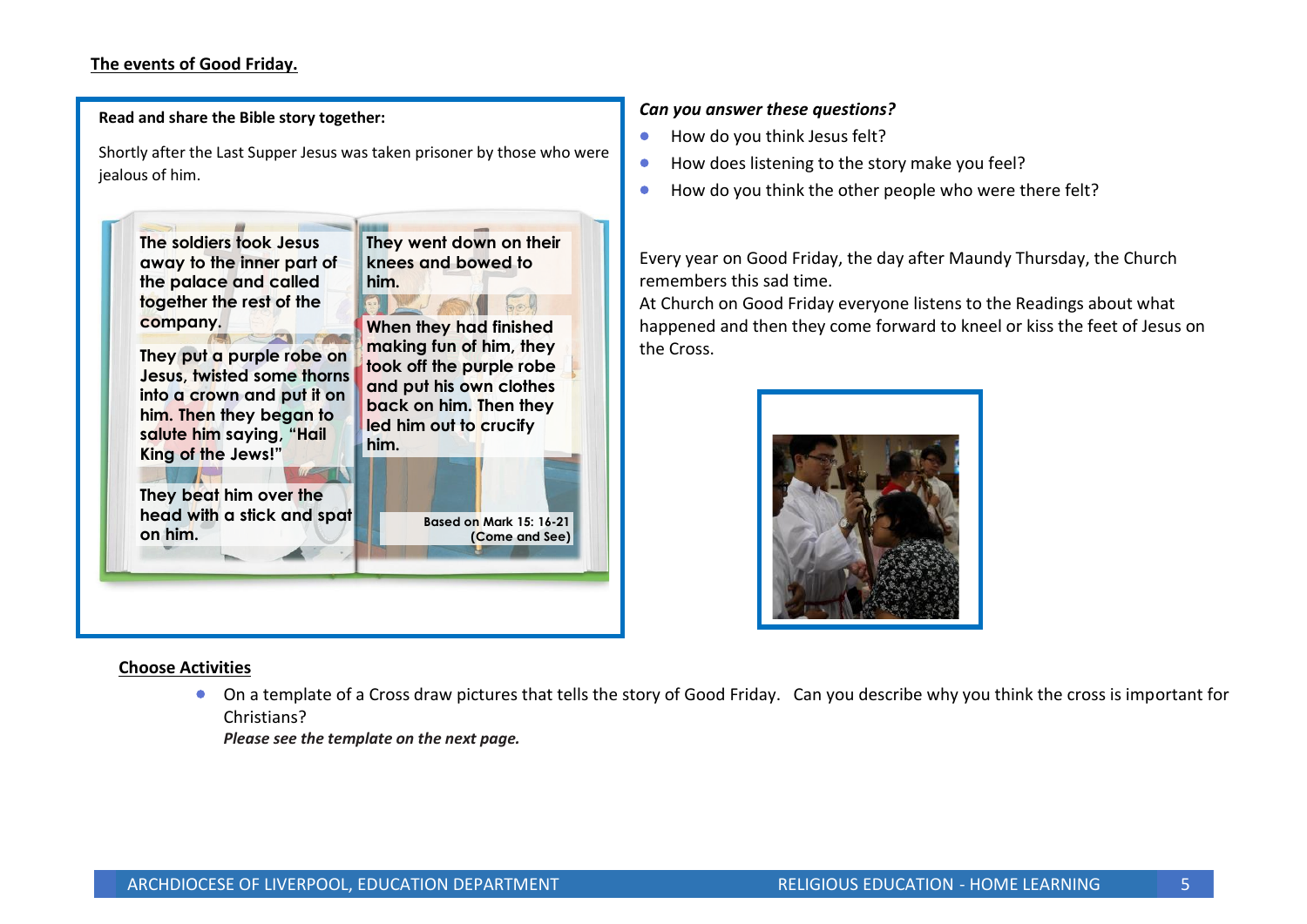## **The events of Good Friday.**

**Read and share the Bible story together:** 

Shortly after the Last Supper Jesus was taken prisoner by those who were jealous of him.



### **Choose Activities**

• On a template of a Cross draw pictures that tells the story of Good Friday. Can you describe why you think the cross is important for Christians?

*Please see the template on the next page.*

### *Can you answer these questions?*

- How do you think Jesus felt?
- How does listening to the story make you feel?
- How do you think the other people who were there felt?

Every year on Good Friday, the day after Maundy Thursday, the Church remembers this sad time.

At Church on Good Friday everyone listens to the Readings about what happened and then they come forward to kneel or kiss the feet of Jesus on the Cross.

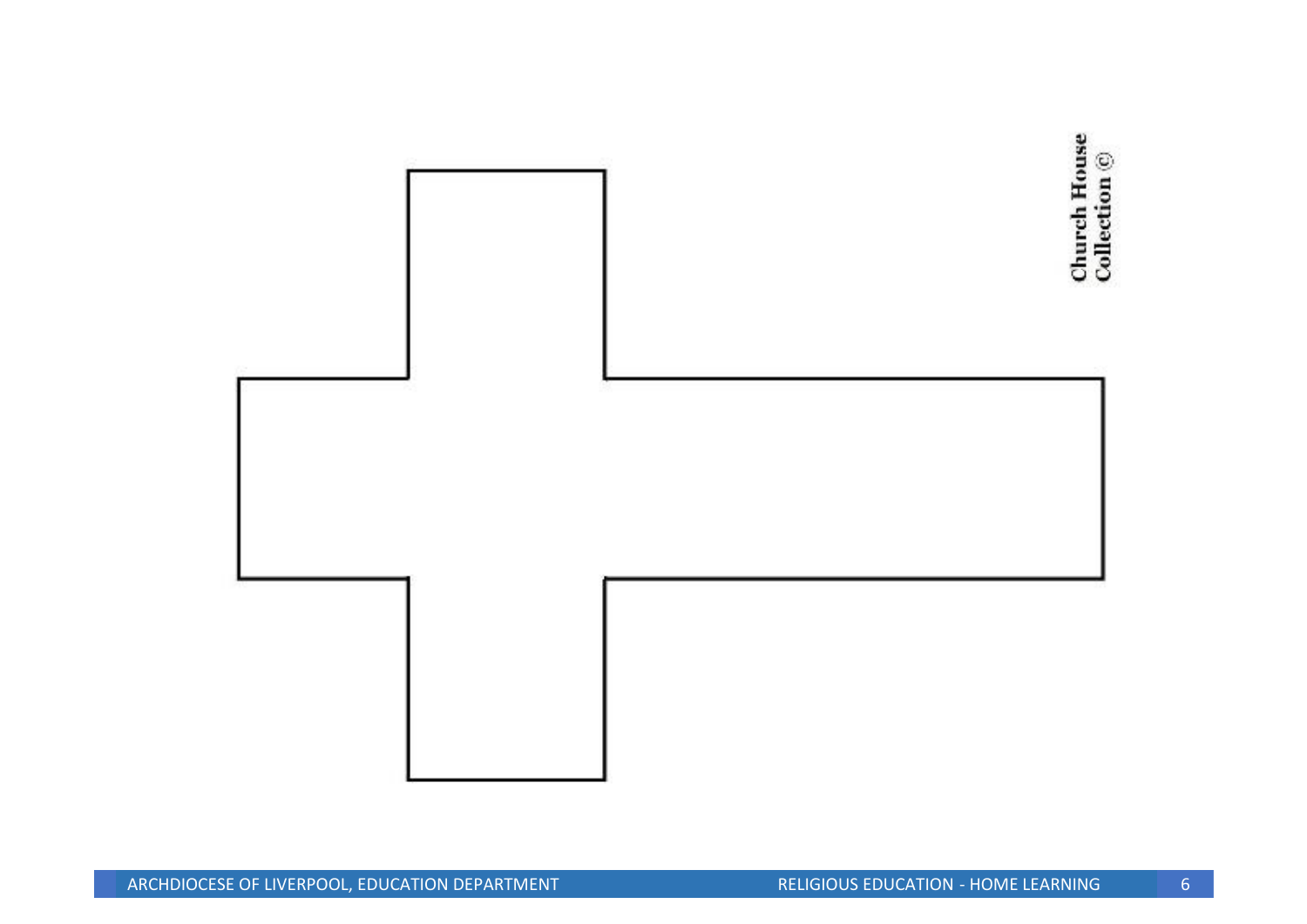